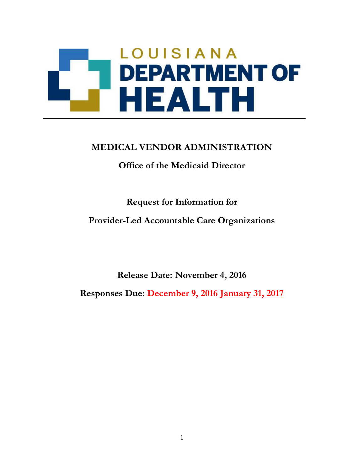# LOUISIANA **DEPARTMENT OF** HEALTH

# **MEDICAL VENDOR ADMINISTRATION**

**Office of the Medicaid Director**

**Request for Information for**

**Provider-Led Accountable Care Organizations**

**Release Date: November 4, 2016**

**Responses Due: December 9, 2016 January 31, 2017**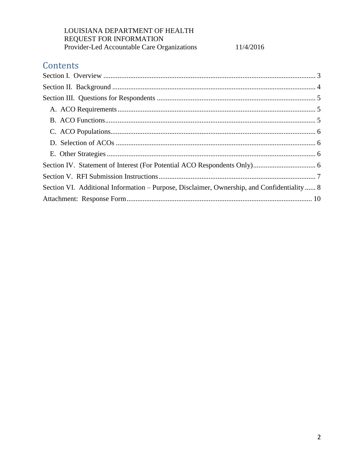11/4/2016

# Contents

| Section VI. Additional Information – Purpose, Disclaimer, Ownership, and Confidentiality  8 |  |
|---------------------------------------------------------------------------------------------|--|
|                                                                                             |  |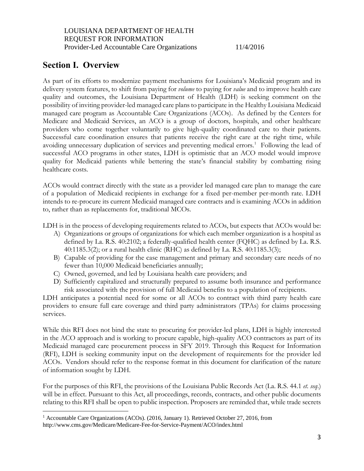# <span id="page-2-0"></span>**Section I. Overview**

 $\overline{a}$ 

As part of its efforts to modernize payment mechanisms for Louisiana's Medicaid program and its delivery system features, to shift from paying for *volume* to paying for *value* and to improve health care quality and outcomes, the Louisiana Department of Health (LDH) is seeking comment on the possibility of inviting provider-led managed care plans to participate in the Healthy Louisiana Medicaid managed care program as Accountable Care Organizations (ACOs). As defined by the Centers for Medicare and Medicaid Services, an ACO is a group of doctors, hospitals, and other healthcare providers who come together voluntarily to give high-quality coordinated care to their patients. Successful care coordination ensures that patients receive the right care at the right time, while avoiding unnecessary duplication of services and preventing medical errors.<sup>1</sup> Following the lead of successful ACO programs in other states, LDH is optimistic that an ACO model would improve quality for Medicaid patients while bettering the state's financial stability by combatting rising healthcare costs.

ACOs would contract directly with the state as a provider led managed care plan to manage the care of a population of Medicaid recipients in exchange for a fixed per-member per-month rate. LDH intends to re-procure its current Medicaid managed care contracts and is examining ACOs in addition to, rather than as replacements for, traditional MCOs.

LDH is in the process of developing requirements related to ACOs, but expects that ACOs would be:

- A) Organizations or groups of organizations for which each member organization is a hospital as defined by La. R.S. 40:2102; a federally-qualified health center (FQHC) as defined by La. R.S. 40:1185.3(2); or a rural health clinic (RHC) as defined by La. R.S. 40:1185.3(3);
- B) Capable of providing for the case management and primary and secondary care needs of no fewer than 10,000 Medicaid beneficiaries annually;
- C) Owned, governed, and led by Louisiana health care providers; and
- D) Sufficiently capitalized and structurally prepared to assume both insurance and performance risk associated with the provision of full Medicaid benefits to a population of recipients.

LDH anticipates a potential need for some or all ACOs to contract with third party health care providers to ensure full care coverage and third party administrators (TPAs) for claims processing services.

While this RFI does not bind the state to procuring for provider-led plans, LDH is highly interested in the ACO approach and is working to procure capable, high-quality ACO contractors as part of its Medicaid managed care procurement process in SFY 2019. Through this Request for Information (RFI), LDH is seeking community input on the development of requirements for the provider led ACOs. Vendors should refer to the response format in this document for clarification of the nature of information sought by LDH.

For the purposes of this RFI, the provisions of the Louisiana Public Records Act (La. R.S. 44.1 *et. seq*.) will be in effect. Pursuant to this Act, all proceedings, records, contracts, and other public documents relating to this RFI shall be open to public inspection. Proposers are reminded that, while trade secrets

<sup>1</sup> Accountable Care Organizations (ACOs). (2016, January 1). Retrieved October 27, 2016, from http://www.cms.gov/Medicare/Medicare-Fee-for-Service-Payment/ACO/index.html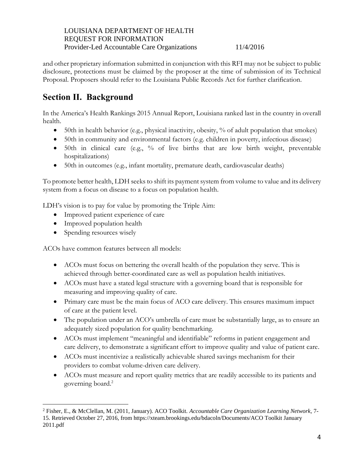and other proprietary information submitted in conjunction with this RFI may not be subject to public disclosure, protections must be claimed by the proposer at the time of submission of its Technical Proposal. Proposers should refer to the Louisiana Public Records Act for further clarification.

# <span id="page-3-0"></span>**Section II. Background**

In the America's Health Rankings 2015 Annual Report, Louisiana ranked last in the country in overall health.

- 50th in health behavior (e.g., physical inactivity, obesity, % of adult population that smokes)
- 50th in community and environmental factors (e.g. children in poverty, infectious disease)
- 50th in clinical care (e.g., % of live births that are low birth weight, preventable hospitalizations)
- 50th in outcomes (e.g., infant mortality, premature death, cardiovascular deaths)

To promote better health, LDH seeks to shift its payment system from volume to value and its delivery system from a focus on disease to a focus on population health.

LDH's vision is to pay for value by promoting the Triple Aim:

- Improved patient experience of care
- Improved population health
- Spending resources wisely

 $\overline{a}$ 

ACOs have common features between all models:

- ACOs must focus on bettering the overall health of the population they serve. This is achieved through better-coordinated care as well as population health initiatives.
- ACOs must have a stated legal structure with a governing board that is responsible for measuring and improving quality of care.
- Primary care must be the main focus of ACO care delivery. This ensures maximum impact of care at the patient level.
- The population under an ACO's umbrella of care must be substantially large, as to ensure an adequately sized population for quality benchmarking.
- ACOs must implement "meaningful and identifiable" reforms in patient engagement and care delivery, to demonstrate a significant effort to improve quality and value of patient care.
- ACOs must incentivize a realistically achievable shared savings mechanism for their providers to combat volume-driven care delivery.
- ACOs must measure and report quality metrics that are readily accessible to its patients and governing board.<sup>2</sup>

<sup>2</sup> Fisher, E., & McClellan, M. (2011, January). ACO Toolkit. *Accountable Care Organization Learning Network,* 7- 15. Retrieved October 27, 2016, from https://xteam.brookings.edu/bdacoln/Documents/ACO Toolkit January 2011.pdf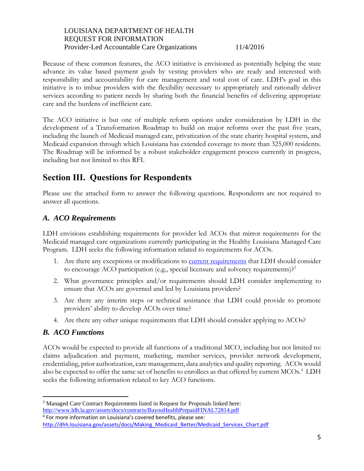Because of these common features, the ACO initiative is envisioned as potentially helping the state advance its value based payment goals by vesting providers who are ready and interested with responsibility and accountability for care management and total cost of care. LDH's goal in this initiative is to imbue providers with the flexibility necessary to appropriately and rationally deliver services according to patient needs by sharing both the financial benefits of delivering appropriate care and the burdens of inefficient care.

The ACO initiative is but one of multiple reform options under consideration by LDH in the development of a Transformation Roadmap to build on major reforms over the past five years, including the launch of Medicaid managed care, privatization of the state charity hospital system, and Medicaid expansion through which Louisiana has extended coverage to more than 325,000 residents. The Roadmap will be informed by a robust stakeholder engagement process currently in progress, including but not limited to this RFI.

# <span id="page-4-0"></span>**Section III. Questions for Respondents**

Please use the attached form to answer the following questions. Respondents are not required to answer all questions.

# <span id="page-4-1"></span>*A. ACO Requirements*

LDH envisions establishing requirements for provider led ACOs that mirror requirements for the Medicaid managed care organizations currently participating in the Healthy Louisiana Managed Care Program. LDH seeks the following information related to requirements for ACOs.

- 1. Are there any exceptions or modifications to [current requirements](http://www.ldh.la.gov/assets/medicaid/RFP_Documents/MCO_RFP_ThroughAmd6.pdf) that LDH should consider to encourage ACO participation (e.g., special licensure and solvency requirements)?<sup>3</sup>
- 2. What governance principles and/or requirements should LDH consider implementing to ensure that ACOs are governed and led by Louisiana providers?
- 3. Are there any interim steps or technical assistance that LDH could provide to promote providers' ability to develop ACOs over time?
- 4. Are there any other unique requirements that LDH should consider applying to ACOs?

# <span id="page-4-2"></span>*B. ACO Functions*

 $\overline{a}$ 

ACOs would be expected to provide all functions of a traditional MCO, including but not limited to: claims adjudication and payment, marketing, member services, provider network development, credentialing, prior authorization, care management, data analytics and quality reporting. ACOs would also be expected to offer the same set of benefits to enrollees as that offered by current MCOs.<sup>4</sup> LDH seeks the following information related to key ACO functions.

<sup>&</sup>lt;sup>3</sup> Managed Care Contract Requirements listed in Request for Proposals linked here: <http://www.ldh.la.gov/assets/docs/contracts/BayouHealthPrepaidFINAL72814.pdf>

<sup>4</sup> For more information on Louisiana's covered benefits, please see: [http://dhh.louisiana.gov/assets/docs/Making\\_Medicaid\\_Better/Medicaid\\_Services\\_Chart.pdf](http://dhh.louisiana.gov/assets/docs/Making_Medicaid_Better/Medicaid_Services_Chart.pdf)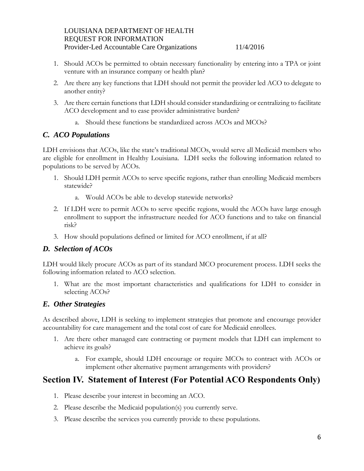- 1. Should ACOs be permitted to obtain necessary functionality by entering into a TPA or joint venture with an insurance company or health plan?
- 2. Are there any key functions that LDH should not permit the provider led ACO to delegate to another entity?
- 3. Are there certain functions that LDH should consider standardizing or centralizing to facilitate ACO development and to ease provider administrative burden?
	- a. Should these functions be standardized across ACOs and MCOs?

# <span id="page-5-0"></span>*C. ACO Populations*

LDH envisions that ACOs, like the state's traditional MCOs, would serve all Medicaid members who are eligible for enrollment in Healthy Louisiana. LDH seeks the following information related to populations to be served by ACOs.

- 1. Should LDH permit ACOs to serve specific regions, rather than enrolling Medicaid members statewide?
	- a. Would ACOs be able to develop statewide networks?
- 2. If LDH were to permit ACOs to serve specific regions, would the ACOs have large enough enrollment to support the infrastructure needed for ACO functions and to take on financial risk?
- 3. How should populations defined or limited for ACO enrollment, if at all?

# <span id="page-5-1"></span>*D. Selection of ACOs*

LDH would likely procure ACOs as part of its standard MCO procurement process. LDH seeks the following information related to ACO selection.

1. What are the most important characteristics and qualifications for LDH to consider in selecting ACOs?

# <span id="page-5-2"></span>*E. Other Strategies*

As described above, LDH is seeking to implement strategies that promote and encourage provider accountability for care management and the total cost of care for Medicaid enrollees.

- 1. Are there other managed care contracting or payment models that LDH can implement to achieve its goals?
	- a. For example, should LDH encourage or require MCOs to contract with ACOs or implement other alternative payment arrangements with providers?

# <span id="page-5-3"></span>**Section IV. Statement of Interest (For Potential ACO Respondents Only)**

- 1. Please describe your interest in becoming an ACO.
- 2. Please describe the Medicaid population(s) you currently serve.
- 3. Please describe the services you currently provide to these populations.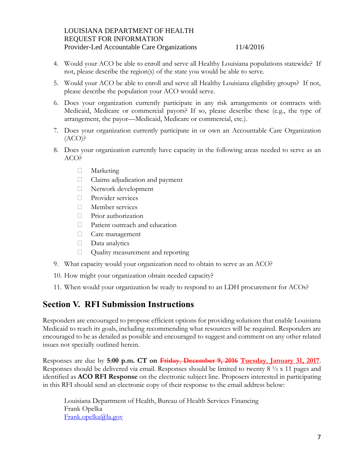- 4. Would your ACO be able to enroll and serve all Healthy Louisiana populations statewide? If not, please describe the region(s) of the state you would be able to serve.
- 5. Would your ACO be able to enroll and serve all Healthy Louisiana eligibility groups? If not, please describe the population your ACO would serve.
- 6. Does your organization currently participate in any risk arrangements or contracts with Medicaid, Medicare or commercial payors? If so, please describe these (e.g., the type of arrangement, the payor—Medicaid, Medicare or commercial, etc.).
- 7. Does your organization currently participate in or own an Accountable Care Organization  $(ACO)$ ?
- 8. Does your organization currently have capacity in the following areas needed to serve as an ACO?
	- Marketing
	- Claims adjudication and payment
	- Network development
	- **Provider services**
	- Member services
	- Prior authorization
	- Patient outreach and education
	- Care management
	- Data analytics
	- Quality measurement and reporting
- 9. What capacity would your organization need to obtain to serve as an ACO?
- 10. How might your organization obtain needed capacity?
- 11. When would your organization be ready to respond to an LDH procurement for ACOs?

# <span id="page-6-0"></span>**Section V. RFI Submission Instructions**

Responders are encouraged to propose efficient options for providing solutions that enable Louisiana Medicaid to reach its goals, including recommending what resources will be required. Responders are encouraged to be as detailed as possible and encouraged to suggest and comment on any other related issues not specially outlined herein.

Responses are due by **5:00 p.m. CT on Friday**, **December 9, 2016 Tuesday**, **January 31, 2017**. Responses should be delivered via email. Responses should be limited to twenty 8 ½ x 11 pages and identified as **ACO RFI Response** on the electronic subject line. Proposers interested in participating in this RFI should send an electronic copy of their response to the email address below:

Louisiana Department of Health, Bureau of Health Services Financing Frank Opelka [Frank.opelka@la.gov](mailto:Frank.opelka@la.gov)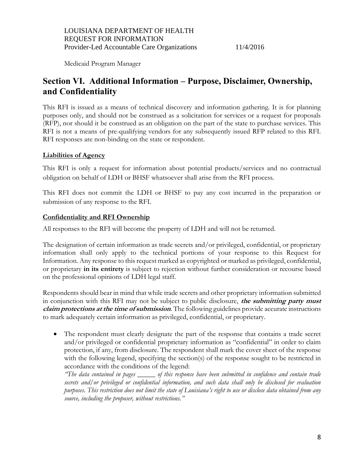Medicaid Program Manager

# <span id="page-7-0"></span>**Section VI. Additional Information – Purpose, Disclaimer, Ownership, and Confidentiality**

This RFI is issued as a means of technical discovery and information gathering. It is for planning purposes only, and should not be construed as a solicitation for services or a request for proposals (RFP), nor should it be construed as an obligation on the part of the state to purchase services. This RFI is not a means of pre-qualifying vendors for any subsequently issued RFP related to this RFI. RFI responses are non-binding on the state or respondent.

## **Liabilities of Agency**

This RFI is only a request for information about potential products/services and no contractual obligation on behalf of LDH or BHSF whatsoever shall arise from the RFI process.

This RFI does not commit the LDH or BHSF to pay any cost incurred in the preparation or submission of any response to the RFI.

## **Confidentiality and RFI Ownership**

All responses to the RFI will become the property of LDH and will not be returned.

The designation of certain information as trade secrets and/or privileged, confidential, or proprietary information shall only apply to the technical portions of your response to this Request for Information. Any response to this request marked as copyrighted or marked as privileged, confidential, or proprietary **in its entirety** is subject to rejection without further consideration or recourse based on the professional opinions of LDH legal staff.

Respondents should bear in mind that while trade secrets and other proprietary information submitted in conjunction with this RFI may not be subject to public disclosure, **the submitting party must claim protections at the time of submission**. The following guidelines provide accurate instructions to mark adequately certain information as privileged, confidential, or proprietary.

 The respondent must clearly designate the part of the response that contains a trade secret and/or privileged or confidential proprietary information as "confidential" in order to claim protection, if any, from disclosure. The respondent shall mark the cover sheet of the response with the following legend, specifying the section(s) of the response sought to be restricted in accordance with the conditions of the legend:

*"The data contained in pages \_\_\_\_\_ of this response have been submitted in confidence and contain trade secrets and/or privileged or confidential information, and such data shall only be disclosed for evaluation purposes. This restriction does not limit the state of Louisiana's right to use or disclose data obtained from any source, including the proposer, without restrictions."*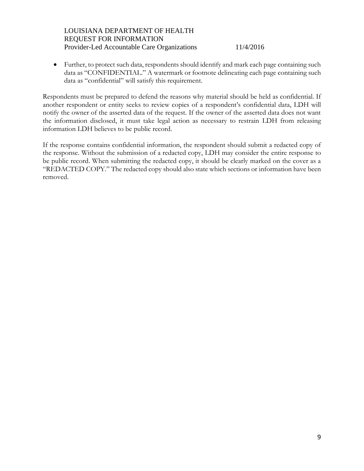Further, to protect such data, respondents should identify and mark each page containing such data as "CONFIDENTIAL." A watermark or footnote delineating each page containing such data as "confidential" will satisfy this requirement.

Respondents must be prepared to defend the reasons why material should be held as confidential. If another respondent or entity seeks to review copies of a respondent's confidential data, LDH will notify the owner of the asserted data of the request. If the owner of the asserted data does not want the information disclosed, it must take legal action as necessary to restrain LDH from releasing information LDH believes to be public record.

If the response contains confidential information, the respondent should submit a redacted copy of the response. Without the submission of a redacted copy, LDH may consider the entire response to be public record. When submitting the redacted copy, it should be clearly marked on the cover as a "REDACTED COPY." The redacted copy should also state which sections or information have been removed.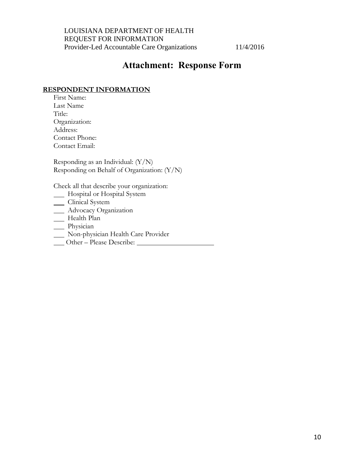# **Attachment: Response Form**

#### <span id="page-9-0"></span>**RESPONDENT INFORMATION**

First Name: Last Name Title: Organization: Address: Contact Phone: Contact Email:

Responding as an Individual: (Y/N) Responding on Behalf of Organization: (Y/N)

Check all that describe your organization:

- **Hospital or Hospital System**
- Clinical System
- Advocacy Organization
- **Health Plan**
- \_\_ Physician
- Non-physician Health Care Provider
- Other Please Describe: